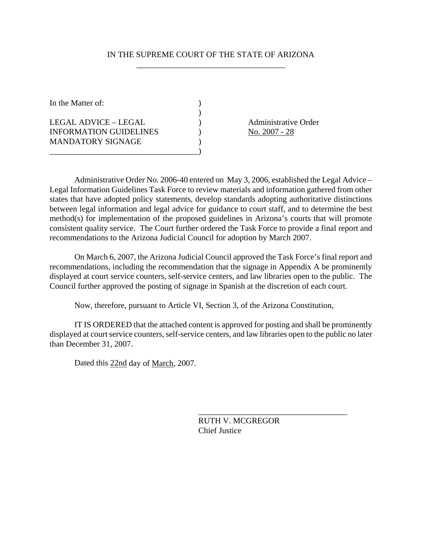#### IN THE SUPREME COURT OF THE STATE OF ARIZONA \_\_\_\_\_\_\_\_\_\_\_\_\_\_\_\_\_\_\_\_\_\_\_\_\_\_\_\_\_\_\_\_\_\_\_\_

In the Matter of:  $\qquad \qquad$  )  $)$ LEGAL ADVICE – LEGAL (1994) (2008) Administrative Order INFORMATION GUIDELINES ) No. 2007 - 28 MANDATORY SIGNAGE \_\_\_\_\_\_\_\_\_\_\_\_\_\_\_\_\_\_\_\_\_\_\_\_\_\_\_\_\_\_\_\_\_\_\_\_)

 Administrative Order No. 2006-40 entered on May 3, 2006, established the Legal Advice – Legal Information Guidelines Task Force to review materials and information gathered from other states that have adopted policy statements, develop standards adopting authoritative distinctions between legal information and legal advice for guidance to court staff, and to determine the best method(s) for implementation of the proposed guidelines in Arizona's courts that will promote consistent quality service. The Court further ordered the Task Force to provide a final report and recommendations to the Arizona Judicial Council for adoption by March 2007.

 On March 6, 2007, the Arizona Judicial Council approved the Task Force's final report and recommendations, including the recommendation that the signage in Appendix A be prominently displayed at court service counters, self-service centers, and law libraries open to the public. The Council further approved the posting of signage in Spanish at the discretion of each court.

Now, therefore, pursuant to Article VI, Section 3, of the Arizona Constitution,

 IT IS ORDERED that the attached content is approved for posting and shall be prominently displayed at court service counters, self-service centers, and law libraries open to the public no later than December 31, 2007.

Dated this 22nd day of March, 2007.

RUTH V. MCGREGOR Chief Justice

\_\_\_\_\_\_\_\_\_\_\_\_\_\_\_\_\_\_\_\_\_\_\_\_\_\_\_\_\_\_\_\_\_\_\_\_